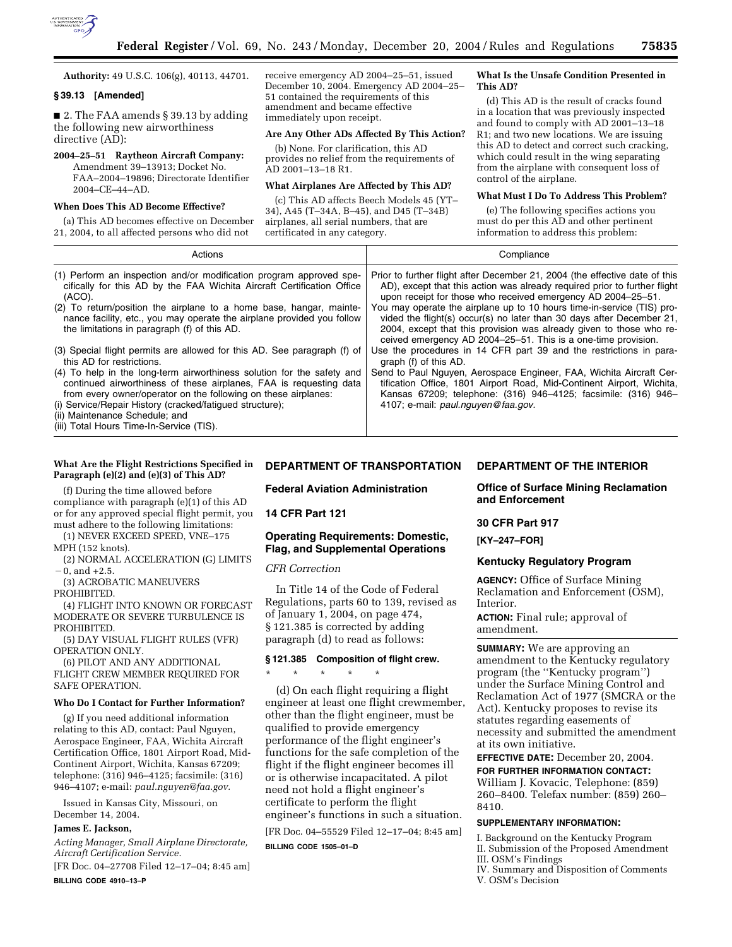

**Authority:** 49 U.S.C. 106(g), 40113, 44701.

### **§ 39.13 [Amended]**

■ 2. The FAA amends § 39.13 by adding the following new airworthiness directive (AD):

# **2004–25–51 Raytheon Aircraft Company:**

Amendment 39–13913; Docket No. FAA–2004–19896; Directorate Identifier 2004–CE–44–AD.

### **When Does This AD Become Effective?**

(a) This AD becomes effective on December 21, 2004, to all affected persons who did not

receive emergency AD 2004–25–51, issued December 10, 2004. Emergency AD 2004–25– 51 contained the requirements of this amendment and became effective immediately upon receipt.

### **Are Any Other ADs Affected By This Action?**

(b) None. For clarification, this AD provides no relief from the requirements of AD 2001–13–18 R1.

### **What Airplanes Are Affected by This AD?**

(c) This AD affects Beech Models 45 (YT– 34), A45 (T–34A, B–45), and D45 (T–34B) airplanes, all serial numbers, that are certificated in any category.

#### **What Is the Unsafe Condition Presented in This AD?**

(d) This AD is the result of cracks found in a location that was previously inspected and found to comply with AD 2001–13–18 R1; and two new locations. We are issuing this AD to detect and correct such cracking, which could result in the wing separating from the airplane with consequent loss of control of the airplane.

### **What Must I Do To Address This Problem?**

(e) The following specifies actions you must do per this AD and other pertinent information to address this problem:

| Actions                                                                                                                                                                                       | Compliance                                                                                                                                                                                                                                                                              |
|-----------------------------------------------------------------------------------------------------------------------------------------------------------------------------------------------|-----------------------------------------------------------------------------------------------------------------------------------------------------------------------------------------------------------------------------------------------------------------------------------------|
| (1) Perform an inspection and/or modification program approved spe-                                                                                                                           | Prior to further flight after December 21, 2004 (the effective date of this                                                                                                                                                                                                             |
| cifically for this AD by the FAA Wichita Aircraft Certification Office                                                                                                                        | AD), except that this action was already required prior to further flight                                                                                                                                                                                                               |
| (ACO).                                                                                                                                                                                        | upon receipt for those who received emergency AD 2004-25-51.                                                                                                                                                                                                                            |
| (2) To return/position the airplane to a home base, hangar, mainte-<br>nance facility, etc., you may operate the airplane provided you follow<br>the limitations in paragraph (f) of this AD. | You may operate the airplane up to 10 hours time-in-service (TIS) pro-<br>vided the flight(s) occur(s) no later than 30 days after December 21,<br>2004, except that this provision was already given to those who re-<br>ceived emergency AD 2004–25–51. This is a one-time provision. |
| (3) Special flight permits are allowed for this AD. See paragraph (f) of                                                                                                                      | Use the procedures in 14 CFR part 39 and the restrictions in para-                                                                                                                                                                                                                      |
| this AD for restrictions.                                                                                                                                                                     | graph (f) of this AD.                                                                                                                                                                                                                                                                   |
| (4) To help in the long-term airworthiness solution for the safety and                                                                                                                        | Send to Paul Nguyen, Aerospace Engineer, FAA, Wichita Aircraft Cer-                                                                                                                                                                                                                     |
| continued airworthiness of these airplanes, FAA is requesting data                                                                                                                            | tification Office, 1801 Airport Road, Mid-Continent Airport, Wichita,                                                                                                                                                                                                                   |
| from every owner/operator on the following on these airplanes:                                                                                                                                | Kansas 67209; telephone: (316) 946-4125; facsimile: (316) 946-                                                                                                                                                                                                                          |
| (i) Service/Repair History (cracked/fatiqued structure);                                                                                                                                      | 4107; e-mail: paul.nguyen@faa.gov.                                                                                                                                                                                                                                                      |
| (ii) Maintenance Schedule; and<br>(iii) Total Hours Time-In-Service (TIS).                                                                                                                    |                                                                                                                                                                                                                                                                                         |

### **What Are the Flight Restrictions Specified in Paragraph (e)(2) and (e)(3) of This AD?**

(f) During the time allowed before compliance with paragraph (e)(1) of this AD or for any approved special flight permit, you must adhere to the following limitations:

(1) NEVER EXCEED SPEED, VNE–175

MPH (152 knots).

(2) NORMAL ACCELERATION (G) LIMITS  $-0$ , and  $+2.5$ .

(3) ACROBATIC MANEUVERS

PROHIBITED.

(4) FLIGHT INTO KNOWN OR FORECAST MODERATE OR SEVERE TURBULENCE IS PROHIBITED.

(5) DAY VISUAL FLIGHT RULES (VFR) OPERATION ONLY.

(6) PILOT AND ANY ADDITIONAL FLIGHT CREW MEMBER REQUIRED FOR SAFE OPERATION.

#### **Who Do I Contact for Further Information?**

(g) If you need additional information relating to this AD, contact: Paul Nguyen, Aerospace Engineer, FAA, Wichita Aircraft Certification Office, 1801 Airport Road, Mid-Continent Airport, Wichita, Kansas 67209; telephone: (316) 946–4125; facsimile: (316) 946–4107; e-mail: *paul.nguyen@faa.gov.*

Issued in Kansas City, Missouri, on December 14, 2004.

### **James E. Jackson,**

*Acting Manager, Small Airplane Directorate, Aircraft Certification Service.*

[FR Doc. 04–27708 Filed 12–17–04; 8:45 am] **BILLING CODE 4910–13–P**

### **DEPARTMENT OF TRANSPORTATION**

**Federal Aviation Administration** 

#### **14 CFR Part 121**

## **Operating Requirements: Domestic, Flag, and Supplemental Operations**

*CFR Correction* 

In Title 14 of the Code of Federal Regulations, parts 60 to 139, revised as of January 1, 2004, on page 474, § 121.385 is corrected by adding paragraph (d) to read as follows:

# **§ 121.385 Composition of flight crew.**

\* \* \* \* \*

(d) On each flight requiring a flight engineer at least one flight crewmember, other than the flight engineer, must be qualified to provide emergency performance of the flight engineer's functions for the safe completion of the flight if the flight engineer becomes ill or is otherwise incapacitated. A pilot need not hold a flight engineer's certificate to perform the flight engineer's functions in such a situation.

[FR Doc. 04–55529 Filed 12–17–04; 8:45 am]

**BILLING CODE 1505–01–D**

#### **DEPARTMENT OF THE INTERIOR**

**Office of Surface Mining Reclamation and Enforcement** 

#### **30 CFR Part 917**

**[KY–247–FOR]** 

#### **Kentucky Regulatory Program**

**AGENCY:** Office of Surface Mining Reclamation and Enforcement (OSM), Interior.

**ACTION:** Final rule; approval of amendment.

**SUMMARY:** We are approving an amendment to the Kentucky regulatory program (the ''Kentucky program'') under the Surface Mining Control and Reclamation Act of 1977 (SMCRA or the Act). Kentucky proposes to revise its statutes regarding easements of necessity and submitted the amendment at its own initiative.

**EFFECTIVE DATE:** December 20, 2004. **FOR FURTHER INFORMATION CONTACT:** William J. Kovacic, Telephone: (859) 260–8400. Telefax number: (859) 260– 8410.

#### **SUPPLEMENTARY INFORMATION:**

I. Background on the Kentucky Program II. Submission of the Proposed Amendment III. OSM's Findings

IV. Summary and Disposition of Comments V. OSM's Decision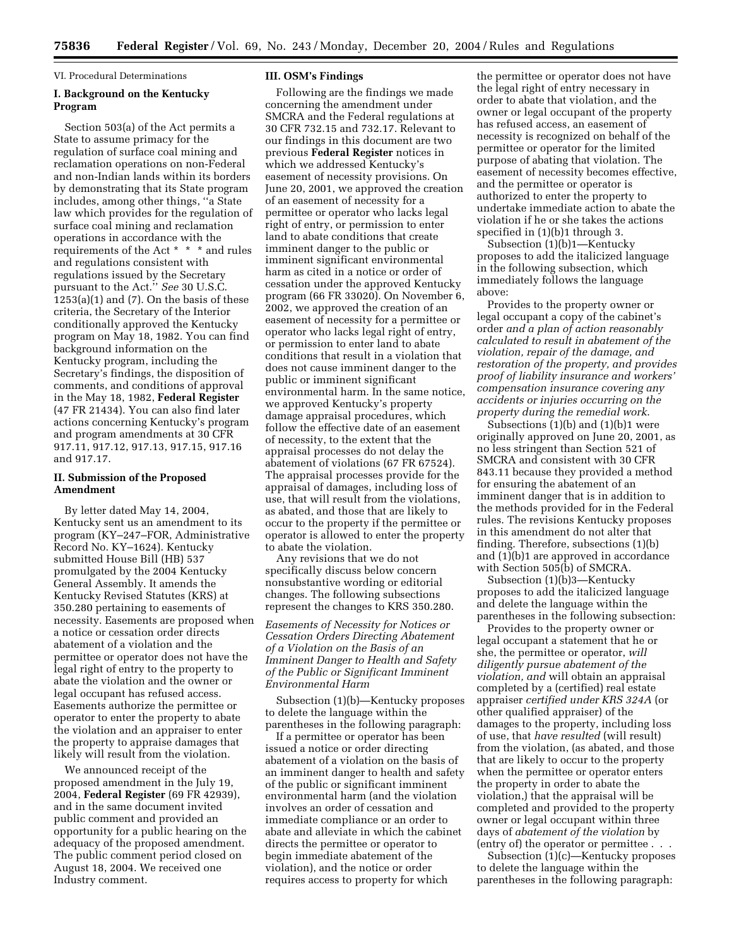VI. Procedural Determinations

# **I. Background on the Kentucky Program**

Section 503(a) of the Act permits a State to assume primacy for the regulation of surface coal mining and reclamation operations on non-Federal and non-Indian lands within its borders by demonstrating that its State program includes, among other things, ''a State law which provides for the regulation of surface coal mining and reclamation operations in accordance with the requirements of the Act \* \* \* and rules and regulations consistent with regulations issued by the Secretary pursuant to the Act.'' *See* 30 U.S.C.  $1253(a)(1)$  and  $(7)$ . On the basis of these criteria, the Secretary of the Interior conditionally approved the Kentucky program on May 18, 1982. You can find background information on the Kentucky program, including the Secretary's findings, the disposition of comments, and conditions of approval in the May 18, 1982, **Federal Register** (47 FR 21434). You can also find later actions concerning Kentucky's program and program amendments at 30 CFR 917.11, 917.12, 917.13, 917.15, 917.16 and 917.17.

### **II. Submission of the Proposed Amendment**

By letter dated May 14, 2004, Kentucky sent us an amendment to its program (KY–247–FOR, Administrative Record No. KY–1624). Kentucky submitted House Bill (HB) 537 promulgated by the 2004 Kentucky General Assembly. It amends the Kentucky Revised Statutes (KRS) at 350.280 pertaining to easements of necessity. Easements are proposed when a notice or cessation order directs abatement of a violation and the permittee or operator does not have the legal right of entry to the property to abate the violation and the owner or legal occupant has refused access. Easements authorize the permittee or operator to enter the property to abate the violation and an appraiser to enter the property to appraise damages that likely will result from the violation.

We announced receipt of the proposed amendment in the July 19, 2004, **Federal Register** (69 FR 42939), and in the same document invited public comment and provided an opportunity for a public hearing on the adequacy of the proposed amendment. The public comment period closed on August 18, 2004. We received one Industry comment.

#### **III. OSM's Findings**

Following are the findings we made concerning the amendment under SMCRA and the Federal regulations at 30 CFR 732.15 and 732.17. Relevant to our findings in this document are two previous **Federal Register** notices in which we addressed Kentucky's easement of necessity provisions. On June 20, 2001, we approved the creation of an easement of necessity for a permittee or operator who lacks legal right of entry, or permission to enter land to abate conditions that create imminent danger to the public or imminent significant environmental harm as cited in a notice or order of cessation under the approved Kentucky program (66 FR 33020). On November 6, 2002, we approved the creation of an easement of necessity for a permittee or operator who lacks legal right of entry, or permission to enter land to abate conditions that result in a violation that does not cause imminent danger to the public or imminent significant environmental harm. In the same notice, we approved Kentucky's property damage appraisal procedures, which follow the effective date of an easement of necessity, to the extent that the appraisal processes do not delay the abatement of violations (67 FR 67524). The appraisal processes provide for the appraisal of damages, including loss of use, that will result from the violations, as abated, and those that are likely to occur to the property if the permittee or operator is allowed to enter the property to abate the violation.

Any revisions that we do not specifically discuss below concern nonsubstantive wording or editorial changes. The following subsections represent the changes to KRS 350.280.

*Easements of Necessity for Notices or Cessation Orders Directing Abatement of a Violation on the Basis of an Imminent Danger to Health and Safety of the Public or Significant Imminent Environmental Harm* 

Subsection (1)(b)—Kentucky proposes to delete the language within the parentheses in the following paragraph:

If a permittee or operator has been issued a notice or order directing abatement of a violation on the basis of an imminent danger to health and safety of the public or significant imminent environmental harm (and the violation involves an order of cessation and immediate compliance or an order to abate and alleviate in which the cabinet directs the permittee or operator to begin immediate abatement of the violation), and the notice or order requires access to property for which

the permittee or operator does not have the legal right of entry necessary in order to abate that violation, and the owner or legal occupant of the property has refused access, an easement of necessity is recognized on behalf of the permittee or operator for the limited purpose of abating that violation. The easement of necessity becomes effective, and the permittee or operator is authorized to enter the property to undertake immediate action to abate the violation if he or she takes the actions specified in (1)(b)1 through 3.

Subsection (1)(b)1—Kentucky proposes to add the italicized language in the following subsection, which immediately follows the language above:

Provides to the property owner or legal occupant a copy of the cabinet's order *and a plan of action reasonably calculated to result in abatement of the violation, repair of the damage, and restoration of the property, and provides proof of liability insurance and workers' compensation insurance covering any accidents or injuries occurring on the property during the remedial work*.

Subsections (1)(b) and (1)(b)1 were originally approved on June 20, 2001, as no less stringent than Section 521 of SMCRA and consistent with 30 CFR 843.11 because they provided a method for ensuring the abatement of an imminent danger that is in addition to the methods provided for in the Federal rules. The revisions Kentucky proposes in this amendment do not alter that finding. Therefore, subsections (1)(b) and (1)(b)1 are approved in accordance with Section 505(b) of SMCRA.

Subsection (1)(b)3—Kentucky proposes to add the italicized language and delete the language within the parentheses in the following subsection:

Provides to the property owner or legal occupant a statement that he or she, the permittee or operator, *will diligently pursue abatement of the violation, and* will obtain an appraisal completed by a (certified) real estate appraiser *certified under KRS 324A* (or other qualified appraiser) of the damages to the property, including loss of use, that *have resulted* (will result) from the violation, (as abated, and those that are likely to occur to the property when the permittee or operator enters the property in order to abate the violation,) that the appraisal will be completed and provided to the property owner or legal occupant within three days of *abatement of the violation* by (entry of) the operator or permittee . . .

Subsection (1)(c)—Kentucky proposes to delete the language within the parentheses in the following paragraph: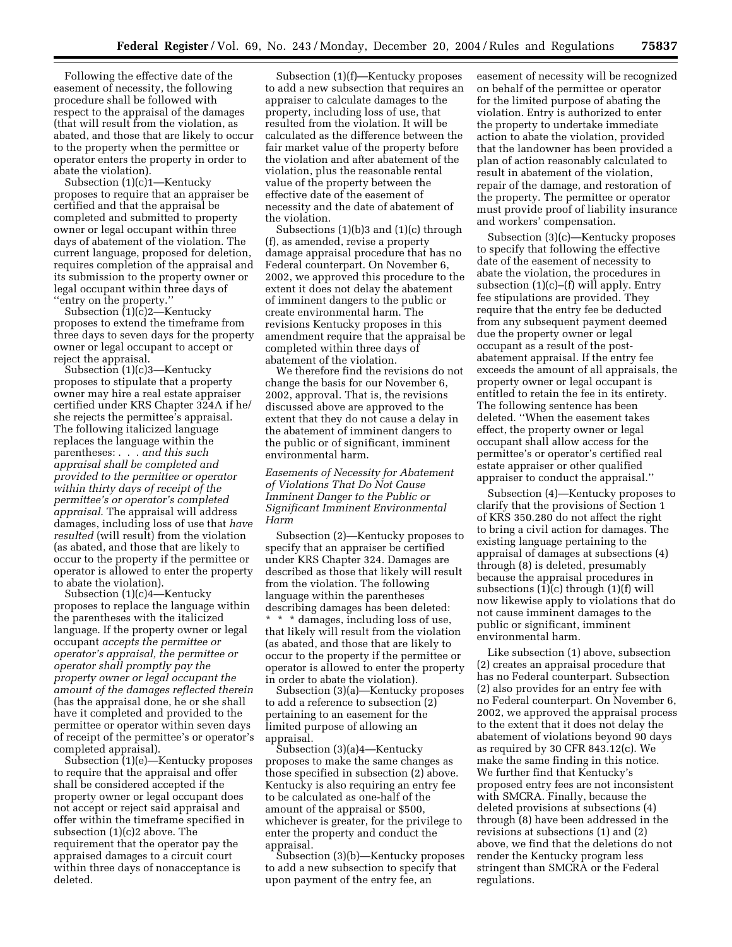Following the effective date of the easement of necessity, the following procedure shall be followed with respect to the appraisal of the damages (that will result from the violation, as abated, and those that are likely to occur to the property when the permittee or operator enters the property in order to abate the violation).

Subsection (1)(c)1—Kentucky proposes to require that an appraiser be certified and that the appraisal be completed and submitted to property owner or legal occupant within three days of abatement of the violation. The current language, proposed for deletion, requires completion of the appraisal and its submission to the property owner or legal occupant within three days of ''entry on the property.''

Subsection (1)(c)2—Kentucky proposes to extend the timeframe from three days to seven days for the property owner or legal occupant to accept or reject the appraisal.

Subsection (1)(c)3—Kentucky proposes to stipulate that a property owner may hire a real estate appraiser certified under KRS Chapter 324A if he/ she rejects the permittee's appraisal. The following italicized language replaces the language within the parentheses: . . . *and this such appraisal shall be completed and provided to the permittee or operator within thirty days of receipt of the permittee's or operator's completed appraisal*. The appraisal will address damages, including loss of use that *have resulted* (will result) from the violation (as abated, and those that are likely to occur to the property if the permittee or operator is allowed to enter the property to abate the violation).

Subsection (1)(c)4—Kentucky proposes to replace the language within the parentheses with the italicized language. If the property owner or legal occupant *accepts the permittee or operator's appraisal, the permittee or operator shall promptly pay the property owner or legal occupant the amount of the damages reflected therein* (has the appraisal done, he or she shall have it completed and provided to the permittee or operator within seven days of receipt of the permittee's or operator's completed appraisal).

Subsection (1)(e)—Kentucky proposes to require that the appraisal and offer shall be considered accepted if the property owner or legal occupant does not accept or reject said appraisal and offer within the timeframe specified in subsection (1)(c)2 above. The requirement that the operator pay the appraised damages to a circuit court within three days of nonacceptance is deleted.

Subsection (1)(f)—Kentucky proposes to add a new subsection that requires an appraiser to calculate damages to the property, including loss of use, that resulted from the violation. It will be calculated as the difference between the fair market value of the property before the violation and after abatement of the violation, plus the reasonable rental value of the property between the effective date of the easement of necessity and the date of abatement of the violation.

Subsections (1)(b)3 and (1)(c) through (f), as amended, revise a property damage appraisal procedure that has no Federal counterpart. On November 6, 2002, we approved this procedure to the extent it does not delay the abatement of imminent dangers to the public or create environmental harm. The revisions Kentucky proposes in this amendment require that the appraisal be completed within three days of abatement of the violation.

We therefore find the revisions do not change the basis for our November 6, 2002, approval. That is, the revisions discussed above are approved to the extent that they do not cause a delay in the abatement of imminent dangers to the public or of significant, imminent environmental harm.

*Easements of Necessity for Abatement of Violations That Do Not Cause Imminent Danger to the Public or Significant Imminent Environmental Harm* 

Subsection (2)—Kentucky proposes to specify that an appraiser be certified under KRS Chapter 324. Damages are described as those that likely will result from the violation. The following language within the parentheses describing damages has been deleted: \* \* \* damages, including loss of use, that likely will result from the violation (as abated, and those that are likely to occur to the property if the permittee or operator is allowed to enter the property in order to abate the violation).

Subsection (3)(a)—Kentucky proposes to add a reference to subsection (2) pertaining to an easement for the limited purpose of allowing an appraisal.

Subsection (3)(a)4—Kentucky proposes to make the same changes as those specified in subsection (2) above. Kentucky is also requiring an entry fee to be calculated as one-half of the amount of the appraisal or \$500, whichever is greater, for the privilege to enter the property and conduct the appraisal.

Subsection (3)(b)—Kentucky proposes to add a new subsection to specify that upon payment of the entry fee, an

easement of necessity will be recognized on behalf of the permittee or operator for the limited purpose of abating the violation. Entry is authorized to enter the property to undertake immediate action to abate the violation, provided that the landowner has been provided a plan of action reasonably calculated to result in abatement of the violation, repair of the damage, and restoration of the property. The permittee or operator must provide proof of liability insurance and workers' compensation.

Subsection (3)(c)—Kentucky proposes to specify that following the effective date of the easement of necessity to abate the violation, the procedures in subsection  $(1)(c)$ – $(f)$  will apply. Entry fee stipulations are provided. They require that the entry fee be deducted from any subsequent payment deemed due the property owner or legal occupant as a result of the postabatement appraisal. If the entry fee exceeds the amount of all appraisals, the property owner or legal occupant is entitled to retain the fee in its entirety. The following sentence has been deleted. ''When the easement takes effect, the property owner or legal occupant shall allow access for the permittee's or operator's certified real estate appraiser or other qualified appraiser to conduct the appraisal.''

Subsection (4)—Kentucky proposes to clarify that the provisions of Section 1 of KRS 350.280 do not affect the right to bring a civil action for damages. The existing language pertaining to the appraisal of damages at subsections (4) through (8) is deleted, presumably because the appraisal procedures in subsections (1)(c) through (1)(f) will now likewise apply to violations that do not cause imminent damages to the public or significant, imminent environmental harm.

Like subsection (1) above, subsection (2) creates an appraisal procedure that has no Federal counterpart. Subsection (2) also provides for an entry fee with no Federal counterpart. On November 6, 2002, we approved the appraisal process to the extent that it does not delay the abatement of violations beyond 90 days as required by 30 CFR 843.12(c). We make the same finding in this notice. We further find that Kentucky's proposed entry fees are not inconsistent with SMCRA. Finally, because the deleted provisions at subsections (4) through (8) have been addressed in the revisions at subsections (1) and (2) above, we find that the deletions do not render the Kentucky program less stringent than SMCRA or the Federal regulations.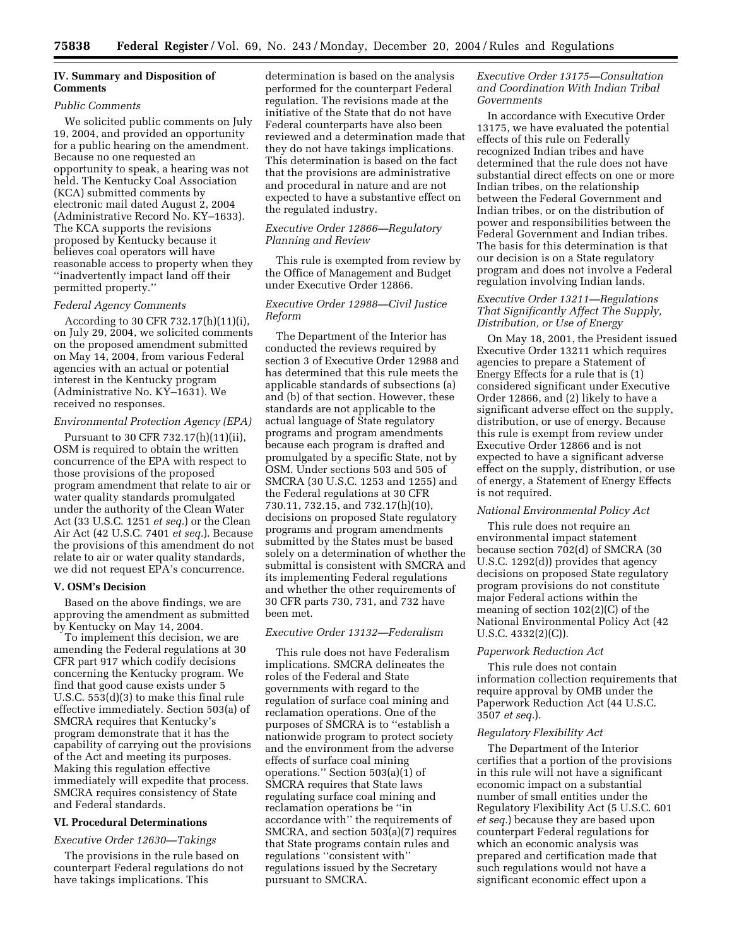## **IV. Summary and Disposition of Comments**

## *Public Comments*

We solicited public comments on July 19, 2004, and provided an opportunity for a public hearing on the amendment. Because no one requested an opportunity to speak, a hearing was not held. The Kentucky Coal Association (KCA) submitted comments by electronic mail dated August 2, 2004 (Administrative Record No. KY–1633). The KCA supports the revisions proposed by Kentucky because it believes coal operators will have reasonable access to property when they ''inadvertently impact land off their permitted property.''

#### *Federal Agency Comments*

According to 30 CFR 732.17(h)(11)(i), on July 29, 2004, we solicited comments on the proposed amendment submitted on May 14, 2004, from various Federal agencies with an actual or potential interest in the Kentucky program (Administrative No. KY–1631). We received no responses.

### *Environmental Protection Agency (EPA)*

Pursuant to 30 CFR 732.17(h)(11)(ii), OSM is required to obtain the written concurrence of the EPA with respect to those provisions of the proposed program amendment that relate to air or water quality standards promulgated under the authority of the Clean Water Act (33 U.S.C. 1251 *et seq.*) or the Clean Air Act (42 U.S.C. 7401 *et seq.*). Because the provisions of this amendment do not relate to air or water quality standards, we did not request EPA's concurrence.

#### **V. OSM's Decision**

Based on the above findings, we are approving the amendment as submitted by Kentucky on May 14, 2004.

To implement this decision, we are amending the Federal regulations at 30 CFR part 917 which codify decisions concerning the Kentucky program. We find that good cause exists under 5 U.S.C. 553(d)(3) to make this final rule effective immediately. Section 503(a) of SMCRA requires that Kentucky's program demonstrate that it has the capability of carrying out the provisions of the Act and meeting its purposes. Making this regulation effective immediately will expedite that process. SMCRA requires consistency of State and Federal standards.

### **VI. Procedural Determinations**

#### *Executive Order 12630—Takings*

The provisions in the rule based on counterpart Federal regulations do not have takings implications. This

determination is based on the analysis performed for the counterpart Federal regulation. The revisions made at the initiative of the State that do not have Federal counterparts have also been reviewed and a determination made that they do not have takings implications. This determination is based on the fact that the provisions are administrative and procedural in nature and are not expected to have a substantive effect on the regulated industry.

## *Executive Order 12866—Regulatory Planning and Review*

This rule is exempted from review by the Office of Management and Budget under Executive Order 12866.

## *Executive Order 12988—Civil Justice Reform*

The Department of the Interior has conducted the reviews required by section 3 of Executive Order 12988 and has determined that this rule meets the applicable standards of subsections (a) and (b) of that section. However, these standards are not applicable to the actual language of State regulatory programs and program amendments because each program is drafted and promulgated by a specific State, not by OSM. Under sections 503 and 505 of SMCRA (30 U.S.C. 1253 and 1255) and the Federal regulations at 30 CFR 730.11, 732.15, and 732.17(h)(10), decisions on proposed State regulatory programs and program amendments submitted by the States must be based solely on a determination of whether the submittal is consistent with SMCRA and its implementing Federal regulations and whether the other requirements of 30 CFR parts 730, 731, and 732 have been met.

# *Executive Order 13132—Federalism*

This rule does not have Federalism implications. SMCRA delineates the roles of the Federal and State governments with regard to the regulation of surface coal mining and reclamation operations. One of the purposes of SMCRA is to ''establish a nationwide program to protect society and the environment from the adverse effects of surface coal mining operations.'' Section 503(a)(1) of SMCRA requires that State laws regulating surface coal mining and reclamation operations be ''in accordance with'' the requirements of SMCRA, and section 503(a)(7) requires that State programs contain rules and regulations ''consistent with'' regulations issued by the Secretary pursuant to SMCRA.

## *Executive Order 13175—Consultation and Coordination With Indian Tribal Governments*

In accordance with Executive Order 13175, we have evaluated the potential effects of this rule on Federally recognized Indian tribes and have determined that the rule does not have substantial direct effects on one or more Indian tribes, on the relationship between the Federal Government and Indian tribes, or on the distribution of power and responsibilities between the Federal Government and Indian tribes. The basis for this determination is that our decision is on a State regulatory program and does not involve a Federal regulation involving Indian lands.

### *Executive Order 13211—Regulations That Significantly Affect The Supply, Distribution, or Use of Energy*

On May 18, 2001, the President issued Executive Order 13211 which requires agencies to prepare a Statement of Energy Effects for a rule that is (1) considered significant under Executive Order 12866, and (2) likely to have a significant adverse effect on the supply, distribution, or use of energy. Because this rule is exempt from review under Executive Order 12866 and is not expected to have a significant adverse effect on the supply, distribution, or use of energy, a Statement of Energy Effects is not required.

## *National Environmental Policy Act*

This rule does not require an environmental impact statement because section 702(d) of SMCRA (30 U.S.C. 1292(d)) provides that agency decisions on proposed State regulatory program provisions do not constitute major Federal actions within the meaning of section 102(2)(C) of the National Environmental Policy Act (42 U.S.C. 4332(2)(C)).

#### *Paperwork Reduction Act*

This rule does not contain information collection requirements that require approval by OMB under the Paperwork Reduction Act (44 U.S.C. 3507 *et seq.*).

### *Regulatory Flexibility Act*

The Department of the Interior certifies that a portion of the provisions in this rule will not have a significant economic impact on a substantial number of small entities under the Regulatory Flexibility Act (5 U.S.C. 601 *et seq.*) because they are based upon counterpart Federal regulations for which an economic analysis was prepared and certification made that such regulations would not have a significant economic effect upon a